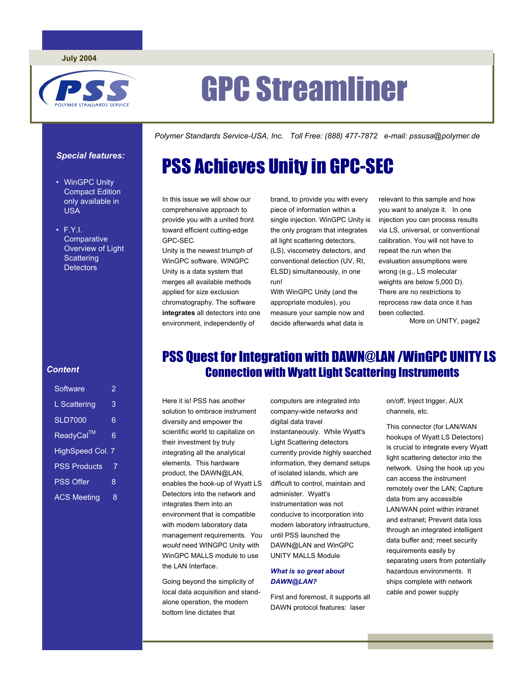

# GPC Streamliner

PSS Achieves Unity in GPC-SEC

*Polymer Standards Service-USA, Inc. Toll Free: (888) 477-7872 e-mail: pssusa@polymer.de* 

### *Special features:*

- WinGPC Unity Compact Edition only available in USA
- F.Y.I. **Comparative** Overview of Light **Scattering Detectors**

### *Content*

| Software                | 2 |  |  |  |
|-------------------------|---|--|--|--|
| L Scattering            | 3 |  |  |  |
| <b>SLD7000</b>          | 6 |  |  |  |
| ReadyCal <sup>™</sup>   | 6 |  |  |  |
| <b>HighSpeed Col. 7</b> |   |  |  |  |
| <b>PSS Products</b>     | 7 |  |  |  |
| <b>PSS Offer</b>        | 8 |  |  |  |
| <b>ACS Meeting</b>      | 8 |  |  |  |

### In this issue we will show our comprehensive approach to provide you with a united front

toward efficient cutting-edge GPC-SEC.

Unity is the newest triumph of WinGPC software. WINGPC Unity is a data system that merges all available methods applied for size exclusion chromatography. The software **integrates** all detectors into one environment, independently of

brand, to provide you with every piece of information within a single injection. WinGPC Unity is the only program that integrates all light scattering detectors,

(LS), viscometry detectors, and conventional detection (UV, RI, ELSD) simultaneously, in one run!

With WinGPC Unity (and the appropriate modules), you measure your sample now and decide afterwards what data is

relevant to this sample and how you want to analyze it. In one injection you can process results via LS, universal, or conventional calibration. You will not have to repeat the run when the evaluation assumptions were wrong (e.g., LS molecular weights are below 5,000 D). There are no restrictions to reprocess raw data once it has been collected.

More on UNITY, page2

# PSS Quest for Integration with DAWN@LAN /WinGPC UNITY LS Connection with Wyatt Light Scattering Instruments

Here it is! PSS has another solution to embrace instrument diversity and empower the scientific world to capitalize on their investment by truly integrating all the analytical elements. This hardware product, the DAWN@LAN, enables the hook-up of Wyatt LS Detectors into the network and integrates them into an environment that is compatible with modern laboratory data management requirements. *You would* need WINGPC Unity with WinGPC MALLS module to use the LAN Interface.

Going beyond the simplicity of local data acquisition and standalone operation, the modern bottom line dictates that

computers are integrated into company-wide networks and digital data travel instantaneously. While Wyatt's Light Scattering detectors currently provide highly searched information, they demand setups of isolated islands, which are difficult to control, maintain and administer. Wyatt's instrumentation was not conducive to incorporation into modern laboratory infrastructure, until PSS launched the DAWN@LAN and WinGPC

### *What is so great about DAWN@LAN?*

UNITY MALLS Module

First and foremost, it supports all DAWN protocol features: laser

on/off, Inject trigger, AUX channels, etc.

This connector (for LAN/WAN hookups of Wyatt LS Detectors) is crucial to integrate every Wyatt light scattering detector into the network. Using the hook up you can access the instrument remotely over the LAN; Capture data from any accessible LAN/WAN point within intranet and extranet; Prevent data loss through an integrated intelligent data buffer and; meet security requirements easily by separating users from potentially hazardous environments. It ships complete with network cable and power supply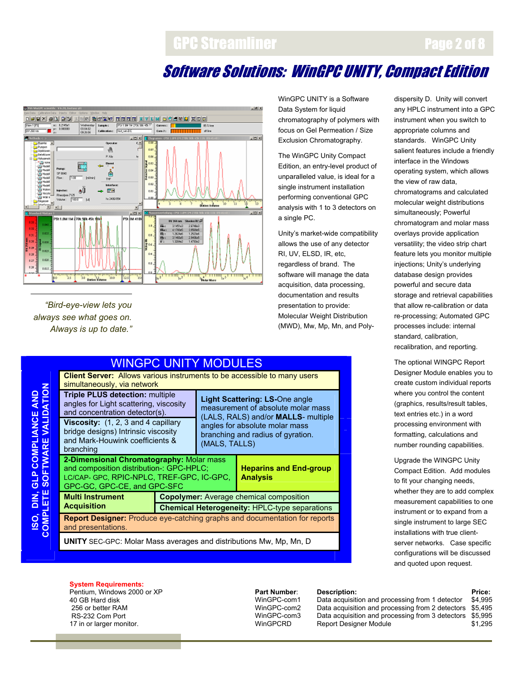# GPC Streamliner

# Software Solutions: WinGPC UNITY, Compact Edition



*"Bird-eye-view lets you always see what goes on. Always is up to date."* 

**ISO, DIN, GLP COMPLIANCE AND** 

**COMPLIANCE AND** 

ISO, DIN, GLP COMPLIANCE AND<br>COMPLETE SOFTWARE VALIDATION

**COMPLETE SOFTWARE VALIDATION** 

WinGPC UNITY is a Software Data System for liquid chromatography of polymers with focus on Gel Permeation / Size Exclusion Chromatography.

The WinGPC Unity Compact Edition, an entry-level product of unparalleled value, is ideal for a single instrument installation performing conventional GPC analysis with 1 to 3 detectors on a single PC.

Unity's market-wide compatibility allows the use of any detector RI, UV, ELSD, IR, etc, regardless of brand. The software will manage the data acquisition, data processing, documentation and results presentation to provide: Molecular Weight Distribution (MWD), Mw, Mp, Mn, and Poly-

| any HPLC instrument into a GPC      |
|-------------------------------------|
| instrument when you switch to       |
| appropriate columns and             |
| standards. WinGPC Unity             |
| salient features include a friendly |
| interface in the Windows            |
| operating system, which allows      |
| the view of raw data,               |
| chromatograms and calculated        |
| molecular weight distributions      |
| simultaneously; Powerful            |
| chromatogram and molar mass         |
| overlays provide application        |
| versatility; the video strip chart  |
| feature lets you monitor multiple   |
| injections; Unity's underlying      |
| database design provides            |
| powerful and secure data            |
| storage and retrieval capabilities  |
| that allow re-calibration or data   |
| re-processing; Automated GPC        |
| processes include: internal         |
| standard, calibration,              |
| recalibration, and reporting.       |
|                                     |

Page 2 of 8

dispersity D. Unity will convert

The optional WINGPC Report Designer Module enables you to create custom individual reports where you control the content (graphics, results/result tables, text entries etc.) in a word processing environment with formatting, calculations and number rounding capabilities.

Upgrade the WINGPC Unity Compact Edition. Add modules to fit your changing needs, whether they are to add complex measurement capabilities to one instrument or to expand from a single instrument to large SEC installations with true clientserver networks. Case specific configurations will be discussed and quoted upon request.

WINGPC UNITY MODULES **Client Server:** Allows various instruments to be accessible to many users simultaneously, via network **Triple PLUS detection:** multiple angles for Light scattering, viscosity and concentration detector(s). **Viscosity:** (1, 2, 3 and 4 capillary bridge designs) Intrinsic viscosity and Mark-Houwink coefficients & branching **Light Scattering: LS-**One angle measurement of absolute molar mass (LALS, RALS) and/or **MALLS**- multiple angles for absolute molar mass branching and radius of gyration. (MALS, TALLS) **2-Dimensional Chromatography:** Molar mass and composition distribution-: GPC-HPLC; LC/CAP- GPC, RPIC-NPLC, TREF-GPC, IC-GPC, GPC-GC, GPC-CE, and GPC-SFC **Heparins and End-group Analysis Multi Instrument Copolymer:** Average chemical composition **Acquisition Chemical Heterogeneity: HPLC-type separations Report Designer:** Produce eye-catching graphs and documentation for reports and presentations.

**UNITY** SEC-GPC: Molar Mass averages and distributions Mw, Mp, Mn, D

### **System Requirements:**

Pentium, Windows 2000 or XP 40 GB Hard disk 256 or better RAM RS-232 Com Port 17 in or larger monitor.

**Part Number: Description:**<br>WinGPC-com1 Data acquisition and processing from 1 detector \$4.995 WinGPC-com1 Data acquisition and processing from 1 detector<br>WinGPC-com2 Data acquisition and processing from 2 detectors WinGPC-com2 Data acquisition and processing from 2 detectors \$5,495<br>WinGPC-com3 Data acquisition and processing from 3 detectors \$5,995 WinGPC-com3 Data acquisition and processing from 3 detectors<br>WinGPCRD Report Designer Module Report Designer Module  $$1,295$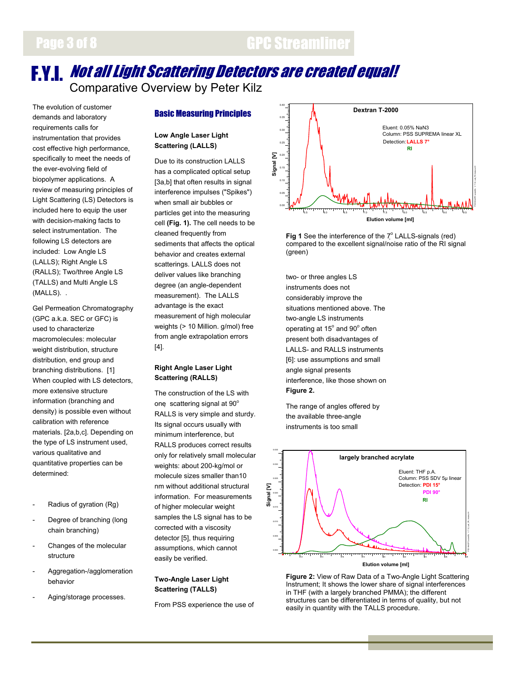# **F.Y.I.** *Not all Light Scattering Detectors are created equal!*<br>Comparative Overview by Peter Kilz

The evolution of customer demands and laboratory requirements calls for instrumentation that provides cost effective high performance, specifically to meet the needs of the ever-evolving field of biopolymer applications. A review of measuring principles of Light Scattering (LS) Detectors is included here to equip the user with decision-making facts to select instrumentation. The following LS detectors are included: Low Angle LS (LALLS); Right Angle LS (RALLS); Two/three Angle LS (TALLS) and Multi Angle LS (MALLS). .

Gel Permeation Chromatography (GPC a.k.a. SEC or GFC) is used to characterize macromolecules: molecular weight distribution, structure distribution, end group and branching distributions. [1] When coupled with LS detectors, more extensive structure information (branching and density) is possible even without calibration with reference materials. [2a,b,c]. Depending on the type of LS instrument used, various qualitative and quantitative properties can be determined:

- Radius of gyration (Rg)
- Degree of branching (long chain branching)
- Changes of the molecular structure
- Aggregation-/agglomeration behavior
- Aging/storage processes.

### Basic Measuring Principles

### **Low Angle Laser Light Scattering (LALLS)**

Due to its construction LALLS has a complicated optical setup [3a,b] that often results in signal interference impulses ("Spikes") when small air bubbles or particles get into the measuring cell **(Fig. 1).** The cell needs to be cleaned frequently from sediments that affects the optical behavior and creates external scatterings. LALLS does not deliver values like branching degree (an angle-dependent measurement). The LALLS advantage is the exact measurement of high molecular weights (> 10 Million. g/mol) free from angle extrapolation errors [4].

### **Right Angle Laser Light Scattering (RALLS)**

The construction of the LS with one scattering signal at 90° RALLS is very simple and sturdy. Its signal occurs usually with minimum interference, but RALLS produces correct results only for relatively small molecular weights: about 200-kg/mol or molecule sizes smaller than10 nm without additional structural information. For measurements of higher molecular weight samples the LS signal has to be corrected with a viscosity detector [5], thus requiring assumptions, which cannot easily be verified.

### **Two-Angle Laser Light Scattering (TALLS)**

From PSS experience the use of



**Fig 1** See the interference of the  $7^\circ$  LALLS-signals (red) compared to the excellent signal/noise ratio of the RI signal (green)

two- or three angles LS instruments does not considerably improve the situations mentioned above. The two-angle LS instruments operating at 15° and 90° often present both disadvantages of LALLS- and RALLS instruments [6]: use assumptions and small angle signal presents interference, like those shown on **Figure 2.**

The range of angles offered by the available three-angle instruments is too small



**Figure 2:** View of Raw Data of a Two-Angle Light Scattering Instrument; It shows the lower share of signal interferences in THF (with a largely branched PMMA); the different structures can be differentiated in terms of quality, but not easily in quantity with the TALLS procedure.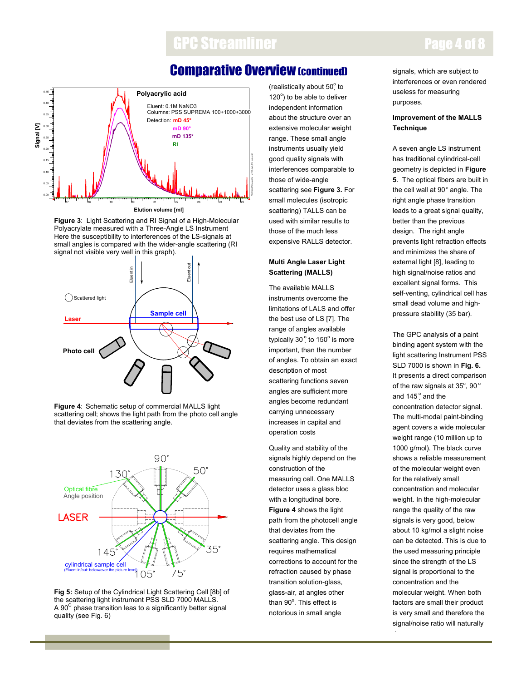# GPC Streamliner **Page 4 of 8**

# Comparative Overview (continued)



**Figure 3**: Light Scattering and RI Signal of a High-Molecular Polyacrylate measured with a Three-Angle LS Instrument Here the susceptibility to interferences of the LS-signals at small angles is compared with the wider-angle scattering (RI signal not visible very well in this graph).



**Figure 4**: Schematic setup of commercial MALLS light scattering cell; shows the light path from the photo cell angle that deviates from the scattering angle.



**Fig 5:** Setup of the Cylindrical Light Scattering Cell [8b] of the scattering light instrument PSS SLD 7000 MALLS. A 90 $^{\circ}$  phase transition leas to a significantly better signal quality (see Fig. 6)

(realistically about  $50^\circ$  to  $120^\circ$ ) to be able to deliver independent information about the structure over an extensive molecular weight range. These small angle instruments usually yield good quality signals with interferences comparable to those of wide-angle scattering see **Figure 3.** For small molecules (isotropic scattering) TALLS can be used with similar results to those of the much less expensive RALLS detector.

### **Multi Angle Laser Light Scattering (MALLS)**

The available MALLS instruments overcome the limitations of LALS and offer the best use of LS [7]. The range of angles available typically 30 $\degree$  to 150 $\degree$  is more important, than the number of angles. To obtain an exact description of most scattering functions seven angles are sufficient more angles become redundant carrying unnecessary increases in capital and operation costs

Quality and stability of the signals highly depend on the construction of the measuring cell. One MALLS detector uses a glass bloc with a longitudinal bore. **Figure 4** shows the light path from the photocell angle that deviates from the scattering angle. This design requires mathematical corrections to account for the refraction caused by phase transition solution-glass, glass-air, at angles other than 90°. This effect is notorious in small angle

signals, which are subject to interferences or even rendered useless for measuring purposes.

### **Improvement of the MALLS Technique**

A seven angle LS instrument has traditional cylindrical-cell geometry is depicted in **Figure 5**. The optical fibers are built in the cell wall at 90° angle. The right angle phase transition leads to a great signal quality, better than the previous design. The right angle prevents light refraction effects and minimizes the share of external light [8], leading to high signal/noise ratios and excellent signal forms. This self-venting, cylindrical cell has small dead volume and highpressure stability (35 bar).

The GPC analysis of a paint binding agent system with the light scattering Instrument PSS SLD 7000 is shown in **Fig. 6.**  It presents a direct comparison of the raw signals at  $35^\circ$ , 90 $^\circ$ and 145° and the concentration detector signal. The multi-modal paint-binding agent covers a wide molecular weight range (10 million up to 1000 g/mol). The black curve shows a reliable measurement of the molecular weight even for the relatively small concentration and molecular weight. In the high-molecular range the quality of the raw signals is very good, below about 10 kg/mol a slight noise can be detected. This is due to the used measuring principle since the strength of the LS signal is proportional to the concentration and the molecular weight. When both factors are small their product is very small and therefore the signal/noise ratio will naturally

d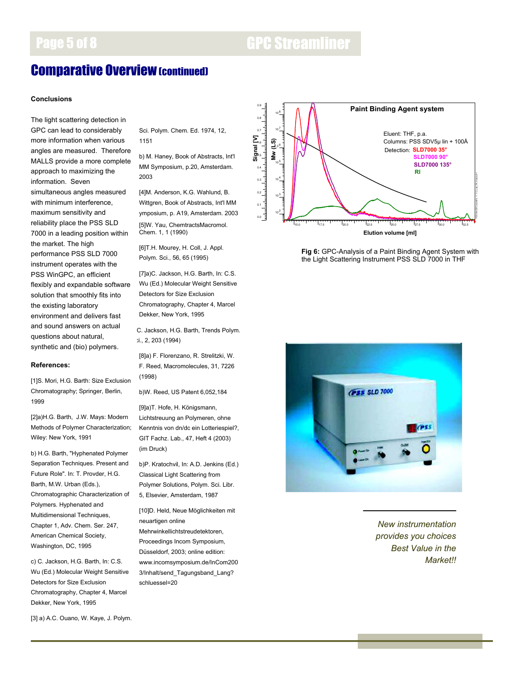# Page 5 of 8 GPC Streamliner

# Comparative Overview (continued)

### **Conclusions**

The light scattering detection in GPC can lead to considerably more information when various angles are measured. Therefore MALLS provide a more complete approach to maximizing the information. Seven simultaneous angles measured with minimum interference, maximum sensitivity and reliability place the PSS SLD 7000 in a leading position within the market. The high performance PSS SLD 7000 instrument operates with the PSS WinGPC, an efficient flexibly and expandable software solution that smoothly fits into the existing laboratory environment and delivers fast and sound answers on actual questions about natural, synthetic and (bio) polymers.

### **References:**

[1]S. Mori, H.G. Barth: Size Exclusion Chromatography; Springer, Berlin, 1999

[2]a)H.G. Barth, J.W. Mays: Modern Methods of Polymer Characterization; Wiley: New York, 1991

b) H.G. Barth, "Hyphenated Polymer Separation Techniques. Present and Future Role". In: T. Provder, H.G. Barth, M.W. Urban (Eds.), Chromatographic Characterization of Polymers. Hyphenated and Multidimensional Techniques, Chapter 1, Adv. Chem. Ser. 247, American Chemical Society, Washington, DC, 1995

c) C. Jackson, H.G. Barth, In: C.S. Wu (Ed.) Molecular Weight Sensitive Detectors for Size Exclusion Chromatography, Chapter 4, Marcel Dekker, New York, 1995

[3] a) A.C. Ouano, W. Kaye, J. Polym.

Sci. Polym. Chem. Ed. 1974, 12, 1151

b) M. Haney, Book of Abstracts, Int'l MM Symposium, p.20, Amsterdam. 2003

[4]M. Anderson, K.G. Wahlund, B. Wittgren, Book of Abstracts, Int'l MM ymposium, p. A19, Amsterdam. 2003 [5]W. Yau, ChemtractsMacromol. Chem. 1, 1 (1990)

[6]T.H. Mourey, H. Coll, J. Appl. Polym. Sci., 56, 65 (1995)

[7]a)C. Jackson, H.G. Barth, In: C.S. Wu (Ed.) Molecular Weight Sensitive Detectors for Size Exclusion Chromatography, Chapter 4, Marcel Dekker, New York, 1995

C. Jackson, H.G. Barth, Trends Polym. ci., 2, 203 (1994)

[8]a) F. Florenzano, R. Strelitzki, W. F. Reed, Macromolecules, 31, 7226 (1998)

b)W. Reed, US Patent 6,052,184

[9]a)T. Hofe, H. Königsmann, Lichtstreuung an Polymeren, ohne Kenntnis von dn/dc ein Lotteriespiel?, GIT Fachz. Lab., 47, Heft 4 (2003) (im Druck)

b)P. Kratochvil, In: A.D. Jenkins (Ed.) Classical Light Scattering from Polymer Solutions, Polym. Sci. Libr. 5, Elsevier, Amsterdam, 1987

[10]D. Held, Neue Möglichkeiten mit neuartigen online Mehrwinkellichtstreudetektoren, Proceedings Incom Symposium,

Düsseldorf, 2003; online edition: www.incomsymposium.de/InCom200 3/Inhalt/send\_Tagungsband\_Lang? schluessel=20



**Fig 6:** GPC-Analysis of a Paint Binding Agent System with the Light Scattering Instrument PSS SLD 7000 in THF



*New instrumentation provides you choices Best Value in the Market!!*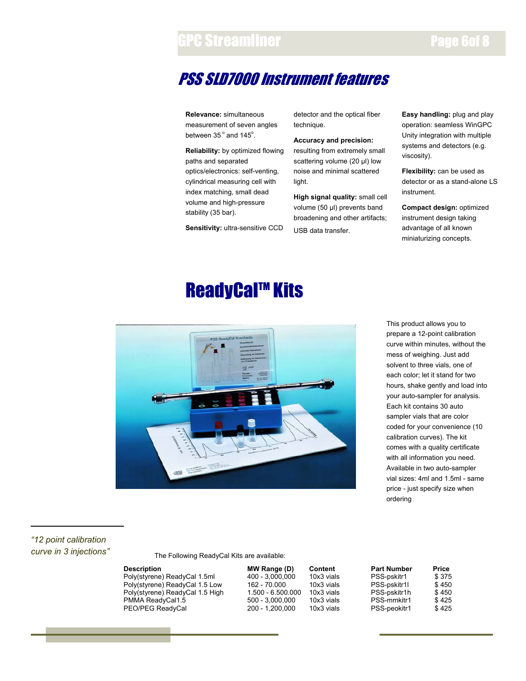# GPC Streamliner **Page 6of 8**

# PSS SLD7000 Instrument features

**Relevance:** simultaneous measurement of seven angles between  $35^{\circ}$  and  $145^{\circ}$ .

**Reliability:** by optimized flowing paths and separated optics/electronics: self-venting, cylindrical measuring cell with index matching, small dead volume and high-pressure stability (35 bar).

**Sensitivity:** ultra-sensitive CCD

detector and the optical fiber technique.

**Accuracy and precision:** resulting from extremely small scattering volume (20 µl) low noise and minimal scattered light.

**High signal quality:** small cell volume (50 µl) prevents band broadening and other artifacts; USB data transfer.

**Easy handling:** plug and play operation: seamless WinGPC Unity integration with multiple systems and detectors (e.g. viscosity).

**Flexibility:** can be used as detector or as a stand-alone LS instrument.

**Compact design:** optimized instrument design taking advantage of all known miniaturizing concepts.

# **ReadyCal™ Kits**



This product allows you to prepare a 12-point calibration curve within minutes, without the mess of weighing. Just add solvent to three vials, one of each color; let it stand for two hours, shake gently and load into your auto-sampler for analysis. Each kit contains 30 auto sampler vials that are color coded for your convenience (10 calibration curves). The kit comes with a quality certificate with all information you need. Available in two auto-sampler vial sizes: 4ml and 1.5ml - same price - just specify size when ordering

### *"12 point calibration curve in 3 injections"*

The Following ReadyCal Kits are available:

| <b>Description</b>              | MW Range (D)      | Content    | <b>Part Number</b> | Price |
|---------------------------------|-------------------|------------|--------------------|-------|
| Poly(styrene) ReadyCal 1.5ml    | 400 - 3.000.000   | 10x3 vials | PSS-pskitr1        | \$375 |
| Poly(styrene) ReadyCal 1.5 Low  | 162 - 70.000      | 10x3 vials | PSS-pskitr1l       | \$450 |
| Poly(styrene) ReadyCal 1.5 High | 1.500 - 6.500.000 | 10x3 vials | PSS-pskitr1h       | \$450 |
| PMMA ReadyCal1.5                | $500 - 3.000.000$ | 10x3 vials | PSS-mmkitr1        | \$425 |
| PEO/PEG ReadyCal                | 200 - 1.200.000   | 10x3 vials | PSS-peokitr1       | \$425 |

| <b>MW Range (D)</b> | Content    | <b>Part Number</b> | <b>Price</b> |
|---------------------|------------|--------------------|--------------|
| 400 - 3.000.000     | 10x3 vials | PSS-pskitr1        | \$375        |
| 162 - 70.000        | 10x3 vials | PSS-pskitr1l       | \$450        |
| 1.500 - 6.500.000   | 10x3 vials | PSS-pskitr1h       | \$450        |
| 500 - 3.000.000     | 10x3 vials | PSS-mmkitr1        | \$425        |
| 200 - 1.200.000     | 10x3 vials | PSS-peokitr1       | \$425        |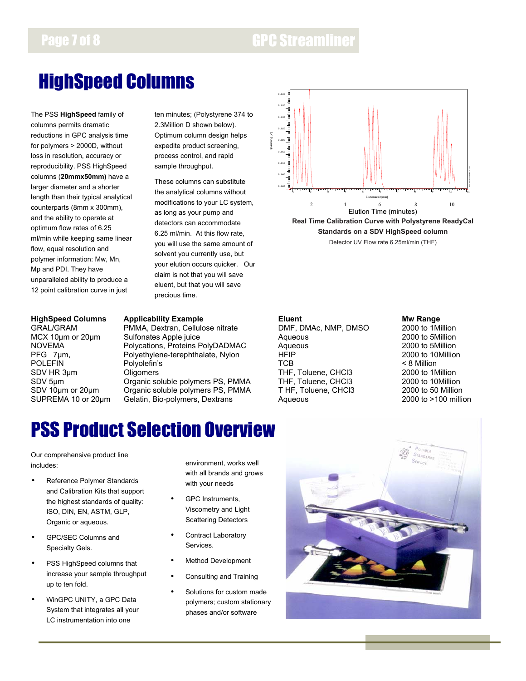# HighSpeed Columns

The PSS **HighSpeed** family of columns permits dramatic reductions in GPC analysis time for polymers > 2000D, without loss in resolution, accuracy or reproducibility. PSS HighSpeed columns (**20mmx50mm)** have a larger diameter and a shorter length than their typical analytical counterparts (8mm x 300mm), and the ability to operate at optimum flow rates of 6.25 ml/min while keeping same linear flow, equal resolution and polymer information: Mw, Mn, Mp and PDI. They have unparalleled ability to produce a 12 point calibration curve in just

ten minutes; (Polystyrene 374 to 2.3Million D shown below). Optimum column design helps expedite product screening, process control, and rapid sample throughput.

These columns can substitute the analytical columns without modifications to your LC system, as long as your pump and detectors can accommodate 6.25 ml/min. At this flow rate, you will use the same amount of solvent you currently use, but your elution occurs quicker. Our claim is not that you will save eluent, but that you will save precious time.

### **HighSpeed Columns Applicability Example 19 Columns Applicability Example 19 Columns 19 Columns Applicability Example**

GRAL/GRAM PMMA, Dextran, Cellulose nitrate DMF, DMAc, NMP, DMSO 2000 to 1Million<br>MCX 10um or 20um Sulfonates Apple juice Agueous Aqueous 2000 to 5Million MCX 10µm or 20µm Sulfonates Apple juice And Aqueous Aqueous 2000 to 5Million<br>1990 to 5Million 2000 to 5Million Proteins PolyDADMAC Aqueous 2000 to 5Million NOVEMA Polycations, Proteins PolyDADMAC Aqueous 2000 to 5Million PFG 7µm, Polyethylene-terephthalate, Nylon HFIP 2000 to 10<br>POLEFIN Polyolefin's Polyolefin's POLEFIN Polyolefin's TCB < 8 Million SDV HR 3µm Cligomers Coligomers THF, Toluene, CHCl3 2000 to 1Million<br>1990 SDV 5µm Crganic soluble polymers PS, PMMA THF, Toluene, CHCl3 2000 to 10Million<br>1990 SDV 10µm or 20µm Crganic soluble polymers PS, PMMA THF, Toluene SDV 5um Crganic soluble polymers PS, PMMA THF, Toluene, CHCl3 2000 to 10Million SDV 10µm or 20µm Organic soluble polymers PS, PMMA T HF, Toluene, CHCl3 2000 to 50 Million



SUPREMA 10 or 20um Gelatin, Bio-polymers, Dextrans Aqueous Aqueous 2000 to >100 million

# PSS Product Selection Overview

Our comprehensive product line includes:

- Reference Polymer Standards and Calibration Kits that support the highest standards of quality: ISO, DIN, EN, ASTM, GLP, Organic or aqueous.
- GPC/SEC Columns and Specialty Gels.
- PSS HighSpeed columns that increase your sample throughput up to ten fold.
- WinGPC UNITY, a GPC Data System that integrates all your LC instrumentation into one

environment, works well with all brands and grows with your needs

- GPC Instruments, Viscometry and Light Scattering Detectors
- Contract Laboratory Services.
- Method Development
- Consulting and Training
- Solutions for custom made polymers; custom stationary phases and/or software